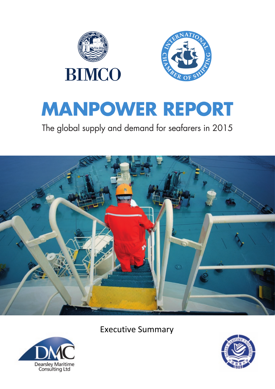**Executive Summary**